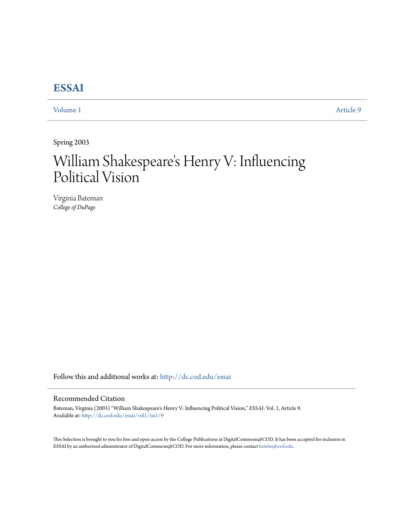## **[ESSAI](http://dc.cod.edu/essai?utm_source=dc.cod.edu%2Fessai%2Fvol1%2Fiss1%2F9&utm_medium=PDF&utm_campaign=PDFCoverPages)**

[Volume 1](http://dc.cod.edu/essai/vol1?utm_source=dc.cod.edu%2Fessai%2Fvol1%2Fiss1%2F9&utm_medium=PDF&utm_campaign=PDFCoverPages) [Article 9](http://dc.cod.edu/essai/vol1/iss1/9?utm_source=dc.cod.edu%2Fessai%2Fvol1%2Fiss1%2F9&utm_medium=PDF&utm_campaign=PDFCoverPages)

Spring 2003

# William Shakespeare 's Henry V: Influencing Political Vision

Virginia Bateman *College of DuPage*

Follow this and additional works at: [http://dc.cod.edu/essai](http://dc.cod.edu/essai?utm_source=dc.cod.edu%2Fessai%2Fvol1%2Fiss1%2F9&utm_medium=PDF&utm_campaign=PDFCoverPages)

### Recommended Citation

Bateman, Virginia (2003) "William Shakespeare's Henry V: Influencing Political Vision," *ESSAI*: Vol. 1, Article 9. Available at: [http://dc.cod.edu/essai/vol1/iss1/9](http://dc.cod.edu/essai/vol1/iss1/9?utm_source=dc.cod.edu%2Fessai%2Fvol1%2Fiss1%2F9&utm_medium=PDF&utm_campaign=PDFCoverPages)

This Selection is brought to you for free and open access by the College Publications at DigitalCommons@COD. It has been accepted for inclusion in ESSAI by an authorized administrator of DigitalCommons@COD. For more information, please contact [koteles@cod.edu](mailto:koteles@cod.edu).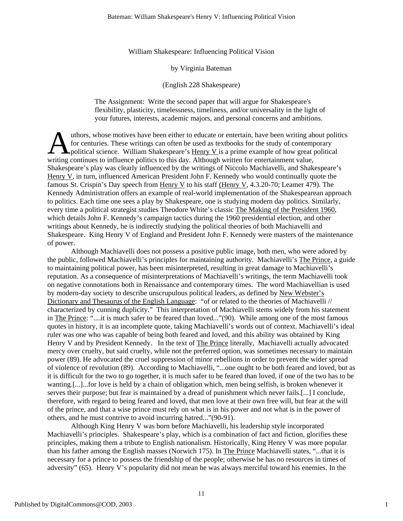William Shakespeare: Influencing Political Vision

#### by Virginia Bateman

#### (English 228 Shakespeare)

The Assignment: Write the second paper that will argue for Shakespeare's flexibility, plasticity, timelessness, timeliness, and/or universality in the light of your futures, interests, academic majors, and personal concerns and ambitions.

uthors, whose motives have been either to educate or entertain, have been writing about politics for centuries. These writings can often be used as textbooks for the study of contemporary political science. William Shakespeare's  $\underline{Henry V}$  is a prime example of how great political uthors, whose motives have been either to educate or entertain, have been writing ab<br>for centuries. These writings can often be used as textbooks for the study of contemp<br>political science. William Shakespeare's <u>Henry V</u> Shakespeare's play was clearly influenced by the writings of Niccolo Machiavelli, and Shakespeare's Henry V, in turn, influenced American President John F. Kennedy who would continually quote the famous St. Crispin's Day speech from Henry V to his staff (Henry V, 4.3.20-70; Leamer 479). The Kennedy Administration offers an example of real-world implementation of the Shakespearean approach to politics. Each time one sees a play by Shakespeare, one is studying modern day politics. Similarly, every time a political strategist studies Theodore White's classic The Making of the President 1960, which details John F. Kennedy's campaign tactics during the 1960 presidential election, and other writings about Kennedy, he is indirectly studying the political theories of both Machiavelli and Shakespeare. King Henry V of England and President John F. Kennedy were masters of the maintenance of power.

Although Machiavelli does not possess a positive public image, both men, who were adored by the public, followed Machiavelli's principles for maintaining authority. Machiavelli's The Prince, a guide to maintaining political power, has been misinterpreted, resulting in great damage to Machiavelli's reputation. As a consequence of misinterpretations of Machiavelli's writings, the term Machiavelli took on negative connotations both in Renaissance and contemporary times. The word Machiavellian is used by modern-day society to describe unscrupulous political leaders, as defined by New Webster's Dictionary and Thesaurus of the English Language: "of or related to the theories of Machiavelli // characterized by cunning duplicity." This interpretation of Machiavelli stems widely from his statement in The Prince: "....it is much safer to be feared than loved..."(90). While among one of the most famous quotes in history, it is an incomplete quote, taking Machiavelli's words out of context. Machiavelli's ideal ruler was one who was capable of being both feared and loved, and this ability was obtained by King Henry V and by President Kennedy. In the text of The Prince literally, Machiavelli actually advocated mercy over cruelty, but said cruelty, while not the preferred option, was sometimes necessary to maintain power (89). He advocated the cruel suppression of minor rebellions in order to prevent the wider spread of violence of revolution (89). According to Machiavelli, "...one ought to be both feared and loved, but as it is difficult for the two to go together, it is much safer to be feared than loved, if one of the two has to be wanting.[...]...for love is held by a chain of obligation which, men being selfish, is broken whenever it serves their purpose; but fear is maintained by a dread of punishment which never fails.[...] I conclude, therefore, with regard to being feared and loved, that men love at their own free will, but fear at the will of the prince, and that a wise prince must rely on what is in his power and not what is in the power of others, and he must contrive to avoid incurring hatred..."(90-91).

Although King Henry V was born before Machiavelli, his leadership style incorporated Machiavelli's principles. Shakespeare's play, which is a combination of fact and fiction, glorifies these principles, making them a tribute to English nationalism. Historically, King Henry V was more popular than his father among the English masses (Norwich 175). In The Prince Machiavelli states, "...that it is necessary for a prince to possess the friendship of the people; otherwise he has no resources in times of adversity" (65). Henry V's popularity did not mean he was always merciful toward his enemies. In the

1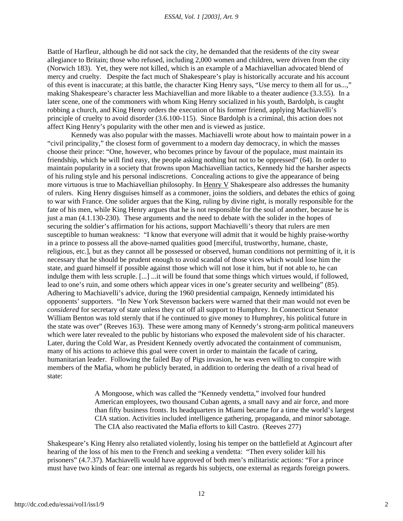#### *ESSAI, Vol. 1 [2003], Art. 9*

Battle of Harfleur, although he did not sack the city, he demanded that the residents of the city swear allegiance to Britain; those who refused, including 2,000 women and children, were driven from the city (Norwich 183). Yet, they were not killed, which is an example of a Machiavellian advocated blend of mercy and cruelty. Despite the fact much of Shakespeare's play is historically accurate and his account of this event is inaccurate; at this battle, the character King Henry says, "Use mercy to them all for us...," making Shakespeare's character less Machiavellian and more likable to a theater audience (3.3.55). In a later scene, one of the commoners with whom King Henry socialized in his youth, Bardolph, is caught robbing a church, and King Henry orders the execution of his former friend, applying Machiavelli's principle of cruelty to avoid disorder (3.6.100-115). Since Bardolph is a criminal, this action does not affect King Henry's popularity with the other men and is viewed as justice.

Kennedy was also popular with the masses. Machiavelli wrote about how to maintain power in a "civil principality," the closest form of government to a modern day democracy, in which the masses choose their prince: "One, however, who becomes prince by favour of the populace, must maintain its friendship, which he will find easy, the people asking nothing but not to be oppressed" (64). In order to maintain popularity in a society that frowns upon Machiavellian tactics, Kennedy hid the harsher aspects of his ruling style and his personal indiscretions. Concealing actions to give the appearance of being more virtuous is true to Machiavellian philosophy. In Henry V Shakespeare also addresses the humanity of rulers. King Henry disguises himself as a commoner, joins the soldiers, and debates the ethics of going to war with France. One solider argues that the King, ruling by divine right, is morally responsible for the fate of his men, while King Henry argues that he is not responsible for the soul of another, because he is just a man (4.1.130-230). These arguments and the need to debate with the solider in the hopes of securing the soldier's affirmation for his actions, support Machiavelli's theory that rulers are men susceptible to human weakness: "I know that everyone will admit that it would be highly praise-worthy in a prince to possess all the above-named qualities good [merciful, trustworthy, humane, chaste, religious, etc.], but as they cannot all be possessed or observed, human conditions not permitting of it, it is necessary that he should be prudent enough to avoid scandal of those vices which would lose him the state, and guard himself if possible against those which will not lose it him, but if not able to, he can indulge them with less scruple. [...] ...it will be found that some things which virtues would, if followed, lead to one's ruin, and some others which appear vices in one's greater security and wellbeing" (85). Adhering to Machiavelli's advice, during the 1960 presidential campaign, Kennedy intimidated his opponents' supporters. "In New York Stevenson backers were warned that their man would not even be *considered* for secretary of state unless they cut off all support to Humphrey. In Connecticut Senator William Benton was told sternly that if he continued to give money to Humphrey, his political future in the state was over" (Reeves 163). These were among many of Kennedy's strong-arm political maneuvers which were later revealed to the public by historians who exposed the malevolent side of his character. Later, during the Cold War, as President Kennedy overtly advocated the containment of communism, many of his actions to achieve this goal were covert in order to maintain the facade of caring, humanitarian leader. Following the failed Bay of Pigs invasion, he was even willing to conspire with members of the Mafia, whom he publicly berated, in addition to ordering the death of a rival head of state:

> Α Mongoose, which was called the "Kennedy vendetta," involved four hundred American employees, two thousand Cuban agents, a small navy and air force, and more than fifty business fronts. Its headquarters in Miami became for a time the world's largest CIA station. Activities included intelligence gathering, propaganda, and minor sabotage. The CIA also reactivated the Mafia efforts to kill Castro. (Reeves 277)

Shakespeare's King Henry also retaliated violently, losing his temper on the battlefield at Agincourt after hearing of the loss of his men to the French and seeking a vendetta: "Then every solider kill his prisoners" (4.7.37). Machiavelli would have approved of both men's militaristic actions: "For a prince must have two kinds of fear: one internal as regards his subjects, one external as regards foreign powers.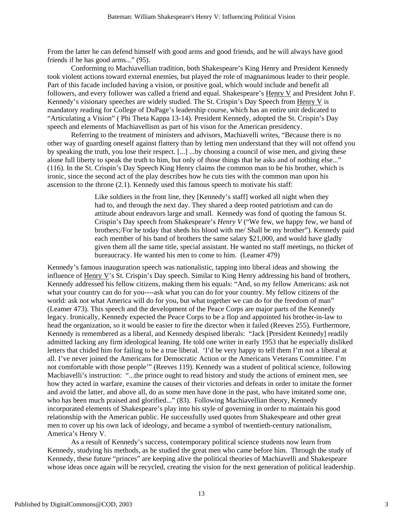From the latter he can defend himself with good arms and good friends, and he will always have good friends if he has good arms..." (95).

Conforming to Machiavellian tradition, both Shakespeare's King Henry and President Kennedy took violent actions toward external enemies, but played the role of magnanimous leader to their people. Part of this facade included having a vision, or positive goal, which would include and benefit all followers, and every follower was called a friend and equal. Shakespeare's Henry V and President John F. Kennedy's visionary speeches are widely studied. The St. Crispin's Day Speech from Henry V is mandatory reading for College of DuPage's leadership course, which has an entire unit dedicated to "Articulating a Vision" ( Phi Theta Kappa 13-14). President Kennedy, adopted the St. Crispin's Day speech and elements of Machiavellism as part of his vison for the American presidency.

Referring to the treatment of ministers and advisors, Machiavelli writes, "Because there is no other way of guarding oneself against flattery than by letting men understand that they will not offend you by speaking the truth, you lose their respect. [...] ...by choosing a council of wise men, and giving these alone full liberty to speak the truth to him, but only of those things that he asks and of nothing else..." (116). In the St. Crispin's Day Speech King Henry claims the common man to be his brother, which is ironic, since the second act of the play describes how he cuts ties with the common man upon his ascension to the throne (2.1). Kennedy used this famous speech to motivate his staff:

> Like soldiers in the front line, they [Kennedy's staff] worked all night when they had to, and through the next day. They shared a deep rooted patriotism and can do attitude about endeavors large and small. Kennedy was fond of quoting the famous St. Crispin's Day speech from Shakespeare's *Henry V* ("We few, we happy few, we band of brothers;/For he today that sheds his blood with me/ Shall be my brother"). Kennedy paid each member of his band of brothers the same salary \$21,000, and would have gladly given them all the same title, special assistant. He wanted no staff meetings, no thicket of bureaucracy. He wanted his men to come to him. (Leamer 479)

Kennedy's famous inauguration speech was nationalistic, tapping into liberal ideas and showing the influence of Henry V's St. Crispin's Day speech. Similar to King Henry addressing his band of brothers, Kennedy addressed his fellow citizens, making them his equals: "And, so my fellow Americans: ask not what your country can do for you----ask what you can do for your country. My fellow citizens of the world: ask not what America will do for you, but what together we can do for the freedom of man" (Leamer 473). This speech and the development of the Peace Corps are major parts of the Kennedy legacy. Ironically, Kennedy expected the Peace Corps to be a flop and appointed his brother-in-law to head the organization, so it would be easier to fire the director when it failed (Reeves 255). Furthermore, Kennedy is remembered as a liberal, and Kennedy despised liberals: "Jack [President Kennedy] readily admitted lacking any firm ideological leaning. He told one writer in early 1953 that he especially disliked letters that chided him for failing to be a true liberal. 'I'd be very happy to tell them I'm not a liberal at all. I've never joined the Americans for Democratic Action or the Americans Veterans Committee. I'm not comfortable with those people'" (Reeves 119). Kennedy was a student of political science, following Machiavelli's instruction: "...the prince ought to read history and study the actions of eminent men, see how they acted in warfare, examine the causes of their victories and defeats in order to imitate the former and avoid the latter, and above all, do as some men have done in the past, who have imitated some one, who has been much praised and glorified..." (83). Following Machiavellian theory, Kennedy incorporated elements of Shakespeare's play into his style of governing in order to maintain his good relationship with the American public. He successfully used quotes from Shakespeare and other great men to cover up his own lack of ideology, and became a symbol of twentieth-century nationalism, America's Henry V.

As a result of Kennedy's success, contemporary political science students now learn from Kennedy, studying his methods, as he studied the great men who came before him. Through the study of Kennedy, these future "princes" are keeping alive the political theories of Machiavelli and Shakespeare whose ideas once again will be recycled, creating the vision for the next generation of political leadership.